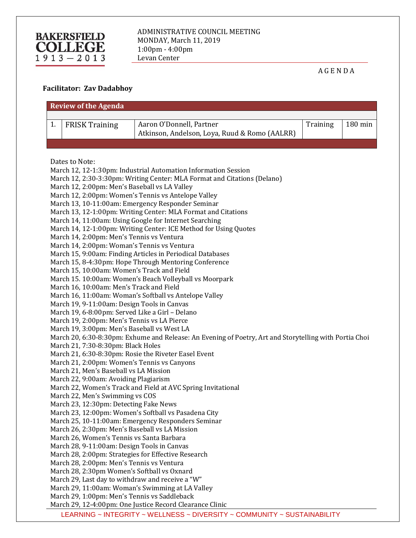

A G E N D A

## **Facilitator: Zav Dadabhoy**

| <b>Review of the Agenda</b>                                                                                   |                                                                                                                    |                                                          |          |         |  |
|---------------------------------------------------------------------------------------------------------------|--------------------------------------------------------------------------------------------------------------------|----------------------------------------------------------|----------|---------|--|
|                                                                                                               |                                                                                                                    |                                                          |          |         |  |
| 1.                                                                                                            | <b>FRISK Training</b>                                                                                              | Aaron O'Donnell, Partner                                 | Training | 180 min |  |
|                                                                                                               |                                                                                                                    | Atkinson, Andelson, Loya, Ruud & Romo (AALRR)            |          |         |  |
|                                                                                                               |                                                                                                                    |                                                          |          |         |  |
|                                                                                                               |                                                                                                                    |                                                          |          |         |  |
|                                                                                                               | Dates to Note:                                                                                                     |                                                          |          |         |  |
|                                                                                                               | March 12, 12-1:30pm: Industrial Automation Information Session                                                     |                                                          |          |         |  |
|                                                                                                               | March 12, 2:30-3:30pm: Writing Center: MLA Format and Citations (Delano)                                           |                                                          |          |         |  |
|                                                                                                               | March 12, 2:00pm: Men's Baseball vs LA Valley                                                                      |                                                          |          |         |  |
|                                                                                                               |                                                                                                                    | March 12, 2:00pm: Women's Tennis vs Antelope Valley      |          |         |  |
|                                                                                                               | March 13, 10-11:00am: Emergency Responder Seminar<br>March 13, 12-1:00pm: Writing Center: MLA Format and Citations |                                                          |          |         |  |
|                                                                                                               |                                                                                                                    |                                                          |          |         |  |
| March 14, 11:00am: Using Google for Internet Searching                                                        |                                                                                                                    |                                                          |          |         |  |
| March 14, 12-1:00pm: Writing Center: ICE Method for Using Quotes<br>March 14, 2:00pm: Men's Tennis vs Ventura |                                                                                                                    |                                                          |          |         |  |
| March 14, 2:00pm: Woman's Tennis vs Ventura                                                                   |                                                                                                                    |                                                          |          |         |  |
|                                                                                                               | March 15, 9:00am: Finding Articles in Periodical Databases                                                         |                                                          |          |         |  |
|                                                                                                               | March 15, 8-4:30pm: Hope Through Mentoring Conference                                                              |                                                          |          |         |  |
|                                                                                                               | March 15, 10:00am: Women's Track and Field                                                                         |                                                          |          |         |  |
|                                                                                                               | March 15. 10:00am: Women's Beach Volleyball vs Moorpark                                                            |                                                          |          |         |  |
|                                                                                                               | March 16, 10:00am: Men's Track and Field                                                                           |                                                          |          |         |  |
|                                                                                                               | March 16, 11:00am: Woman's Softball vs Antelope Valley                                                             |                                                          |          |         |  |
|                                                                                                               | March 19, 9-11:00am: Design Tools in Canvas                                                                        |                                                          |          |         |  |
|                                                                                                               | March 19, 6-8:00pm: Served Like a Girl - Delano                                                                    |                                                          |          |         |  |
|                                                                                                               | March 19, 2:00pm: Men's Tennis vs LA Pierce                                                                        |                                                          |          |         |  |
|                                                                                                               | March 19, 3:00pm: Men's Baseball vs West LA                                                                        |                                                          |          |         |  |
|                                                                                                               | March 20, 6:30-8:30pm: Exhume and Release: An Evening of Poetry, Art and Storytelling with Portia Choi             |                                                          |          |         |  |
|                                                                                                               | March 21, 7:30-8:30pm: Black Holes                                                                                 |                                                          |          |         |  |
|                                                                                                               |                                                                                                                    | March 21, 6:30-8:30pm: Rosie the Riveter Easel Event     |          |         |  |
|                                                                                                               | March 21, 2:00pm: Women's Tennis vs Canyons                                                                        |                                                          |          |         |  |
|                                                                                                               | March 21, Men's Baseball vs LA Mission                                                                             |                                                          |          |         |  |
|                                                                                                               | March 22, 9:00am: Avoiding Plagiarism                                                                              |                                                          |          |         |  |
|                                                                                                               | March 22, Women's Track and Field at AVC Spring Invitational                                                       |                                                          |          |         |  |
|                                                                                                               | March 22, Men's Swimming vs COS                                                                                    |                                                          |          |         |  |
|                                                                                                               | March 23, 12:30pm: Detecting Fake News                                                                             |                                                          |          |         |  |
|                                                                                                               | March 23, 12:00pm: Women's Softball vs Pasadena City                                                               |                                                          |          |         |  |
|                                                                                                               |                                                                                                                    | March 25, 10-11:00am: Emergency Responders Seminar       |          |         |  |
|                                                                                                               | March 26, 2:30pm: Men's Baseball vs LA Mission                                                                     |                                                          |          |         |  |
|                                                                                                               | March 26, Women's Tennis vs Santa Barbara                                                                          |                                                          |          |         |  |
|                                                                                                               | March 28, 9-11:00am: Design Tools in Canvas                                                                        |                                                          |          |         |  |
|                                                                                                               | March 28, 2:00pm: Strategies for Effective Research<br>March 28, 2:00pm: Men's Tennis vs Ventura                   |                                                          |          |         |  |
|                                                                                                               | March 28, 2:30pm Women's Softball vs Oxnard                                                                        |                                                          |          |         |  |
|                                                                                                               | March 29, Last day to withdraw and receive a "W"                                                                   |                                                          |          |         |  |
|                                                                                                               | March 29, 11:00am: Woman's Swimming at LA Valley                                                                   |                                                          |          |         |  |
|                                                                                                               | March 29, 1:00pm: Men's Tennis vs Saddleback                                                                       |                                                          |          |         |  |
|                                                                                                               |                                                                                                                    | March 29, 12-4:00pm: One Justice Record Clearance Clinic |          |         |  |

LEARNING ~ INTEGRITY ~ WELLNESS ~ DIVERSITY ~ COMMUNITY ~ SUSTAINABILITY